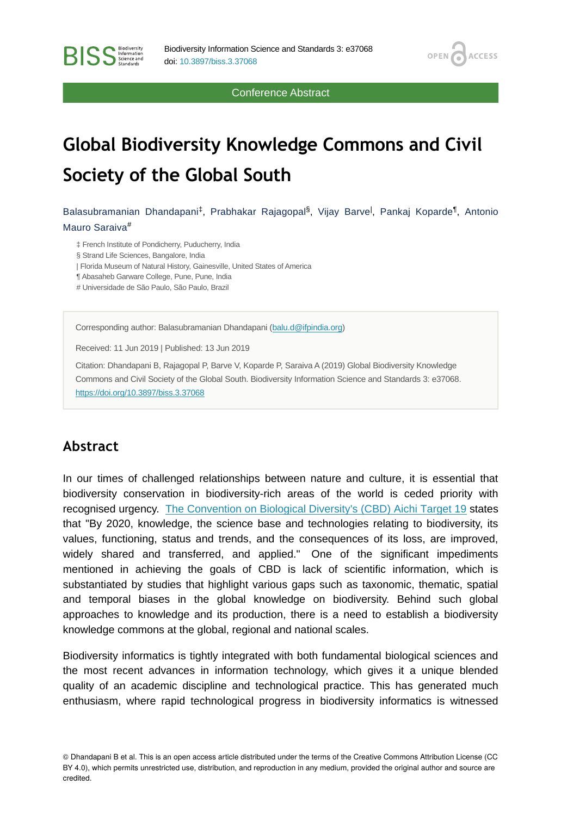Conference Abstract

OPEN<sub>6</sub>

**ACCESS** 

# **Global Biodiversity Knowledge Commons and Civil Society of the Global South**

Balasubramanian Dhandapani<sup>‡</sup>, Prabhakar Rajagopal<sup>§</sup>, Vijay Barve<sup>l</sup>, Pankaj Koparde<sup>¶</sup>, Antonio Mauro Saraiva #

‡ French Institute of Pondicherry, Puducherry, India

§ Strand Life Sciences, Bangalore, India

**BISS** Steence and

| Florida Museum of Natural History, Gainesville, United States of America

¶ Abasaheb Garware College, Pune, Pune, India

# Universidade de São Paulo, São Paulo, Brazil

Corresponding author: Balasubramanian Dhandapani ([balu.d@ifpindia.org](mailto:balu.d@ifpindia.org))

Received: 11 Jun 2019 | Published: 13 Jun 2019

Citation: Dhandapani B, Rajagopal P, Barve V, Koparde P, Saraiva A (2019) Global Biodiversity Knowledge Commons and Civil Society of the Global South. Biodiversity Information Science and Standards 3: e37068. <https://doi.org/10.3897/biss.3.37068>

#### **Abstract**

In our times of challenged relationships between nature and culture, it is essential that biodiversity conservation in biodiversity-rich areas of the world is ceded priority with recognised urgency. [The Convention on Biological Diversity's \(CBD\) Aichi Target 19](https://www.cbd.int/sp/targets/) states that "By 2020, knowledge, the science base and technologies relating to biodiversity, its values, functioning, status and trends, and the consequences of its loss, are improved, widely shared and transferred, and applied." One of the significant impediments mentioned in achieving the goals of CBD is lack of scientific information, which is substantiated by studies that highlight various gaps such as taxonomic, thematic, spatial and temporal biases in the global knowledge on biodiversity. Behind such global approaches to knowledge and its production, there is a need to establish a biodiversity knowledge commons at the global, regional and national scales.

Biodiversity informatics is tightly integrated with both fundamental biological sciences and the most recent advances in information technology, which gives it a unique blended quality of an academic discipline and technological practice. This has generated much enthusiasm, where rapid technological progress in biodiversity informatics is witnessed

© Dhandapani B et al. This is an open access article distributed under the terms of the Creative Commons Attribution License (CC BY 4.0), which permits unrestricted use, distribution, and reproduction in any medium, provided the original author and source are credited.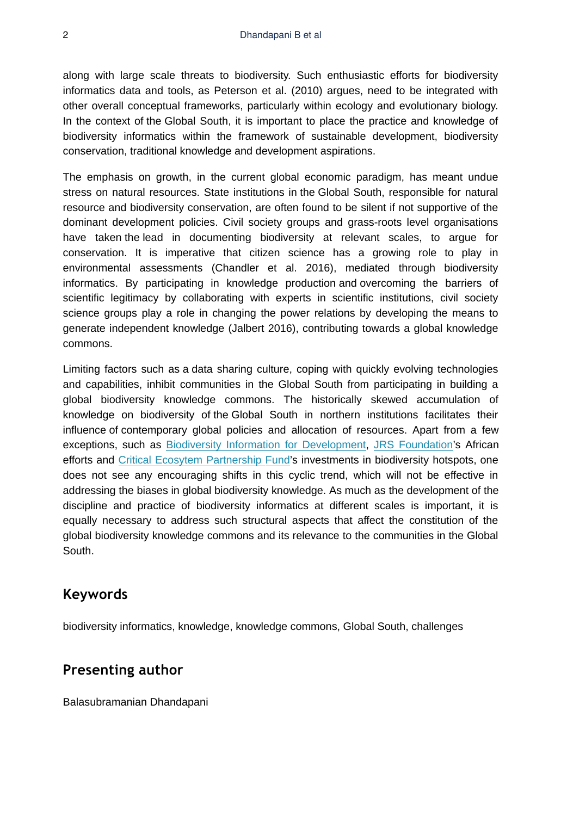along with large scale threats to biodiversity. Such enthusiastic efforts for biodiversity informatics data and tools, as Peterson et al. (2010) argues, need to be integrated with other overall conceptual frameworks, particularly within ecology and evolutionary biology. In the context of the Global South, it is important to place the practice and knowledge of biodiversity informatics within the framework of sustainable development, biodiversity conservation, traditional knowledge and development aspirations.

The emphasis on growth, in the current global economic paradigm, has meant undue stress on natural resources. State institutions in the Global South, responsible for natural resource and biodiversity conservation, are often found to be silent if not supportive of the dominant development policies. Civil society groups and grass-roots level organisations have taken the lead in documenting biodiversity at relevant scales, to argue for conservation. It is imperative that citizen science has a growing role to play in environmental assessments (Chandler et al. 2016), mediated through biodiversity informatics. By participating in knowledge production and overcoming the barriers of scientific legitimacy by collaborating with experts in scientific institutions, civil society science groups play a role in changing the power relations by developing the means to generate independent knowledge (Jalbert 2016), contributing towards a global knowledge commons.

Limiting factors such as a data sharing culture, coping with quickly evolving technologies and capabilities, inhibit communities in the Global South from participating in building a global biodiversity knowledge commons. The historically skewed accumulation of knowledge on biodiversity of the Global South in northern institutions facilitates their influence of contemporary global policies and allocation of resources. Apart from a few exceptions, such as [Biodiversity Information for Development,](https://bid.gbif.org/) [JRS Foundation](http://jrsbiodiversity.org/our-programs/strategy/)'s African efforts and [Critical Ecosytem Partnership Fund'](https://www.cepf.net/our-work/biodiversity-hotspots)s investments in biodiversity hotspots, one does not see any encouraging shifts in this cyclic trend, which will not be effective in addressing the biases in global biodiversity knowledge. As much as the development of the discipline and practice of biodiversity informatics at different scales is important, it is equally necessary to address such structural aspects that affect the constitution of the global biodiversity knowledge commons and its relevance to the communities in the Global South.

## **Keywords**

biodiversity informatics, knowledge, knowledge commons, Global South, challenges

## **Presenting author**

Balasubramanian Dhandapani